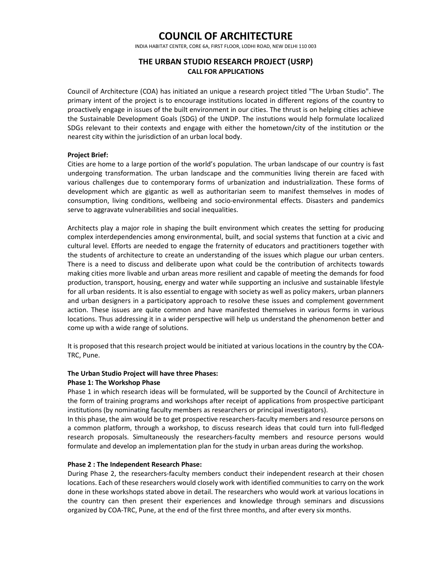# COUNCIL OF ARCHITECTURE

INDIA HABITAT CENTER, CORE 6A, FIRST FLOOR, LODHI ROAD, NEW DELHI 110 003

## THE URBAN STUDIO RESEARCH PROJECT (USRP) CALL FOR APPLICATIONS

Council of Architecture (COA) has initiated an unique a research project titled "The Urban Studio". The primary intent of the project is to encourage institutions located in different regions of the country to proactively engage in issues of the built environment in our cities. The thrust is on helping cities achieve the Sustainable Development Goals (SDG) of the UNDP. The instutions would help formulate localized SDGs relevant to their contexts and engage with either the hometown/city of the institution or the nearest city within the jurisdiction of an urban local body.

### Project Brief:

Cities are home to a large portion of the world's population. The urban landscape of our country is fast undergoing transformation. The urban landscape and the communities living therein are faced with various challenges due to contemporary forms of urbanization and industrialization. These forms of development which are gigantic as well as authoritarian seem to manifest themselves in modes of consumption, living conditions, wellbeing and socio-environmental effects. Disasters and pandemics serve to aggravate vulnerabilities and social inequalities.

Architects play a major role in shaping the built environment which creates the setting for producing complex interdependencies among environmental, built, and social systems that function at a civic and cultural level. Efforts are needed to engage the fraternity of educators and practitioners together with the students of architecture to create an understanding of the issues which plague our urban centers. There is a need to discuss and deliberate upon what could be the contribution of architects towards making cities more livable and urban areas more resilient and capable of meeting the demands for food production, transport, housing, energy and water while supporting an inclusive and sustainable lifestyle for all urban residents. It is also essential to engage with society as well as policy makers, urban planners and urban designers in a participatory approach to resolve these issues and complement government action. These issues are quite common and have manifested themselves in various forms in various locations. Thus addressing it in a wider perspective will help us understand the phenomenon better and come up with a wide range of solutions.

It is proposed that this research project would be initiated at various locations in the country by the COA-TRC, Pune.

#### The Urban Studio Project will have three Phases:

#### Phase 1: The Workshop Phase

Phase 1 in which research ideas will be formulated, will be supported by the Council of Architecture in the form of training programs and workshops after receipt of applications from prospective participant institutions (by nominating faculty members as researchers or principal investigators).

In this phase, the aim would be to get prospective researchers-faculty members and resource persons on a common platform, through a workshop, to discuss research ideas that could turn into full-fledged research proposals. Simultaneously the researchers-faculty members and resource persons would formulate and develop an implementation plan for the study in urban areas during the workshop.

#### Phase 2 : The Independent Research Phase:

During Phase 2, the researchers-faculty members conduct their independent research at their chosen locations. Each of these researchers would closely work with identified communities to carry on the work done in these workshops stated above in detail. The researchers who would work at various locations in the country can then present their experiences and knowledge through seminars and discussions organized by COA-TRC, Pune, at the end of the first three months, and after every six months.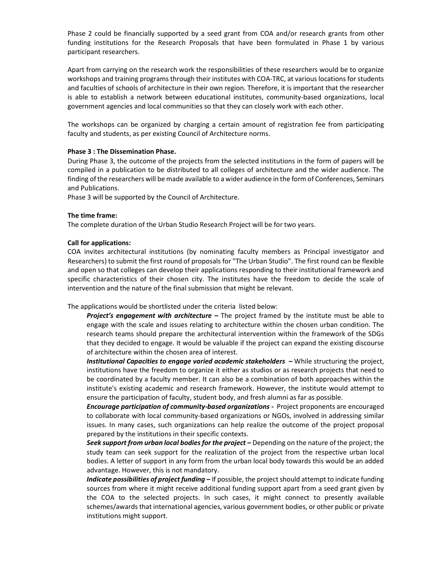Phase 2 could be financially supported by a seed grant from COA and/or research grants from other funding institutions for the Research Proposals that have been formulated in Phase 1 by various participant researchers.

Apart from carrying on the research work the responsibilities of these researchers would be to organize workshops and training programs through their institutes with COA-TRC, at various locations for students and faculties of schools of architecture in their own region. Therefore, it is important that the researcher is able to establish a network between educational institutes, community-based organizations, local government agencies and local communities so that they can closely work with each other.

The workshops can be organized by charging a certain amount of registration fee from participating faculty and students, as per existing Council of Architecture norms.

#### Phase 3 : The Dissemination Phase.

During Phase 3, the outcome of the projects from the selected institutions in the form of papers will be compiled in a publication to be distributed to all colleges of architecture and the wider audience. The finding of the researchers will be made available to a wider audience in the form of Conferences, Seminars and Publications.

Phase 3 will be supported by the Council of Architecture.

#### The time frame:

The complete duration of the Urban Studio Research Project will be for two years.

#### Call for applications:

COA invites architectural institutions (by nominating faculty members as Principal investigator and Researchers) to submit the first round of proposals for "The Urban Studio". The first round can be flexible and open so that colleges can develop their applications responding to their institutional framework and specific characteristics of their chosen city. The institutes have the freedom to decide the scale of intervention and the nature of the final submission that might be relevant.

The applications would be shortlisted under the criteria listed below:

**Project's engagement with architecture**  $-$  The project framed by the institute must be able to engage with the scale and issues relating to architecture within the chosen urban condition. The research teams should prepare the architectural intervention within the framework of the SDGs that they decided to engage. It would be valuable if the project can expand the existing discourse of architecture within the chosen area of interest.

Institutional Capacities to engage varied academic stakeholders - While structuring the project, institutions have the freedom to organize it either as studios or as research projects that need to be coordinated by a faculty member. It can also be a combination of both approaches within the institute's existing academic and research framework. However, the institute would attempt to ensure the participation of faculty, student body, and fresh alumni as far as possible.

**Encourage participation of community-based organizations -** Project proponents are encouraged to collaborate with local community-based organizations or NGOs, involved in addressing similar issues. In many cases, such organizations can help realize the outcome of the project proposal prepared by the institutions in their specific contexts.

Seek support from urban local bodies for the project – Depending on the nature of the project; the study team can seek support for the realization of the project from the respective urban local bodies. A letter of support in any form from the urban local body towards this would be an added advantage. However, this is not mandatory.

Indicate possibilities of project funding - If possible, the project should attempt to indicate funding sources from where it might receive additional funding support apart from a seed grant given by the COA to the selected projects. In such cases, it might connect to presently available schemes/awards that international agencies, various government bodies, or other public or private institutions might support.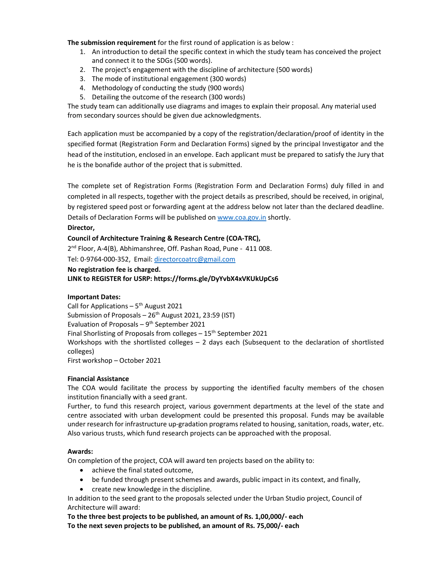The submission requirement for the first round of application is as below :

- 1. An introduction to detail the specific context in which the study team has conceived the project and connect it to the SDGs (500 words).
- 2. The project's engagement with the discipline of architecture (500 words)
- 3. The mode of institutional engagement (300 words)
- 4. Methodology of conducting the study (900 words)
- 5. Detailing the outcome of the research (300 words)

The study team can additionally use diagrams and images to explain their proposal. Any material used from secondary sources should be given due acknowledgments.

Each application must be accompanied by a copy of the registration/declaration/proof of identity in the specified format (Registration Form and Declaration Forms) signed by the principal Investigator and the head of the institution, enclosed in an envelope. Each applicant must be prepared to satisfy the Jury that he is the bonafide author of the project that is submitted.

The complete set of Registration Forms (Registration Form and Declaration Forms) duly filled in and completed in all respects, together with the project details as prescribed, should be received, in original, by registered speed post or forwarding agent at the address below not later than the declared deadline. Details of Declaration Forms will be published on www.coa.gov.in shortly.

### Director,

### Council of Architecture Training & Research Centre (COA-TRC),

2<sup>nd</sup> Floor, A-4(B), Abhimanshree, Off. Pashan Road, Pune - 411 008.

Tel: 0-9764-000-352, Email: directorcoatrc@gmail.com

### No registration fee is charged.

### LINK to REGISTER for USRP: https://forms.gle/DyYvbX4xVKUkUpCs6

### Important Dates:

Call for Applications  $-5$ <sup>th</sup> August 2021

Submission of Proposals  $-26$ <sup>th</sup> August 2021, 23:59 (IST)

Evaluation of Proposals  $-9<sup>th</sup>$  September 2021

Final Shorlisting of Proposals from colleges  $-15<sup>th</sup>$  September 2021

Workshops with the shortlisted colleges – 2 days each (Subsequent to the declaration of shortlisted colleges)

First workshop – October 2021

### Financial Assistance

The COA would facilitate the process by supporting the identified faculty members of the chosen institution financially with a seed grant.

Further, to fund this research project, various government departments at the level of the state and centre associated with urban development could be presented this proposal. Funds may be available under research for infrastructure up-gradation programs related to housing, sanitation, roads, water, etc. Also various trusts, which fund research projects can be approached with the proposal.

### Awards:

On completion of the project, COA will award ten projects based on the ability to:

- achieve the final stated outcome,
- be funded through present schemes and awards, public impact in its context, and finally,
- create new knowledge in the discipline.

In addition to the seed grant to the proposals selected under the Urban Studio project, Council of Architecture will award:

To the three best projects to be published, an amount of Rs. 1,00,000/- each To the next seven projects to be published, an amount of Rs. 75,000/- each